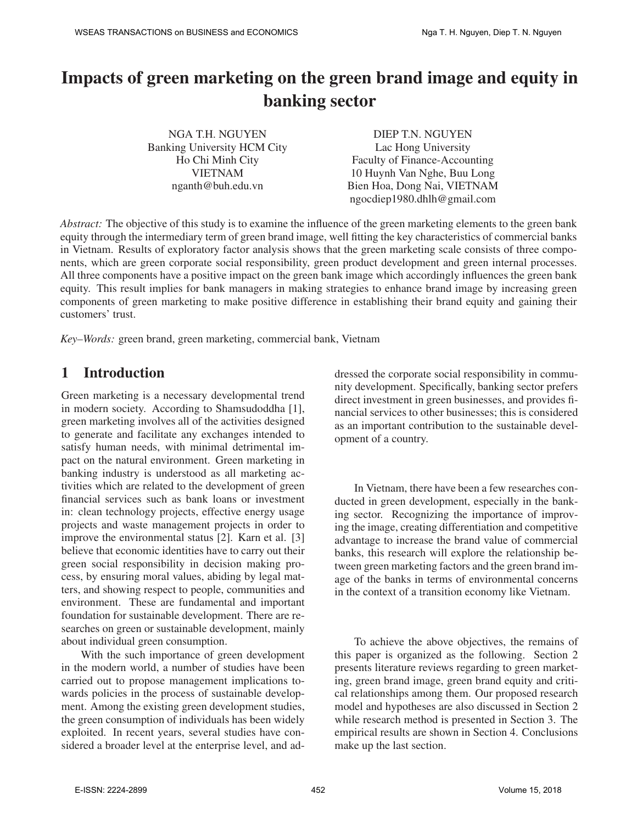# Impacts of green marketing on the green brand image and equity in banking sector

NGA T.H. NGUYEN Banking University HCM City Ho Chi Minh City VIETNAM nganth@buh.edu.vn DIEP T.N. NGUYEN Lac Hong University Faculty of Finance-Accounting 10 Huynh Van Nghe, Buu Long Bien Hoa, Dong Nai, VIETNAM ngocdiep1980.dhlh@gmail.com

*Abstract:* The objective of this study is to examine the influence of the green marketing elements to the green bank equity through the intermediary term of green brand image, well fitting the key characteristics of commercial banks in Vietnam. Results of exploratory factor analysis shows that the green marketing scale consists of three components, which are green corporate social responsibility, green product development and green internal processes. All three components have a positive impact on the green bank image which accordingly influences the green bank equity. This result implies for bank managers in making strategies to enhance brand image by increasing green components of green marketing to make positive difference in establishing their brand equity and gaining their customers' trust.

*Key–Words:* green brand, green marketing, commercial bank, Vietnam

# 1 Introduction

Green marketing is a necessary developmental trend in modern society. According to Shamsudoddha [1], green marketing involves all of the activities designed to generate and facilitate any exchanges intended to satisfy human needs, with minimal detrimental impact on the natural environment. Green marketing in banking industry is understood as all marketing activities which are related to the development of green financial services such as bank loans or investment in: clean technology projects, effective energy usage projects and waste management projects in order to improve the environmental status [2]. Karn et al. [3] believe that economic identities have to carry out their green social responsibility in decision making process, by ensuring moral values, abiding by legal matters, and showing respect to people, communities and environment. These are fundamental and important foundation for sustainable development. There are researches on green or sustainable development, mainly about individual green consumption.

With the such importance of green development in the modern world, a number of studies have been carried out to propose management implications towards policies in the process of sustainable development. Among the existing green development studies, the green consumption of individuals has been widely exploited. In recent years, several studies have considered a broader level at the enterprise level, and addressed the corporate social responsibility in community development. Specifically, banking sector prefers direct investment in green businesses, and provides financial services to other businesses; this is considered as an important contribution to the sustainable development of a country.

In Vietnam, there have been a few researches conducted in green development, especially in the banking sector. Recognizing the importance of improving the image, creating differentiation and competitive advantage to increase the brand value of commercial banks, this research will explore the relationship between green marketing factors and the green brand image of the banks in terms of environmental concerns in the context of a transition economy like Vietnam.

To achieve the above objectives, the remains of this paper is organized as the following. Section 2 presents literature reviews regarding to green marketing, green brand image, green brand equity and critical relationships among them. Our proposed research model and hypotheses are also discussed in Section 2 while research method is presented in Section 3. The empirical results are shown in Section 4. Conclusions make up the last section.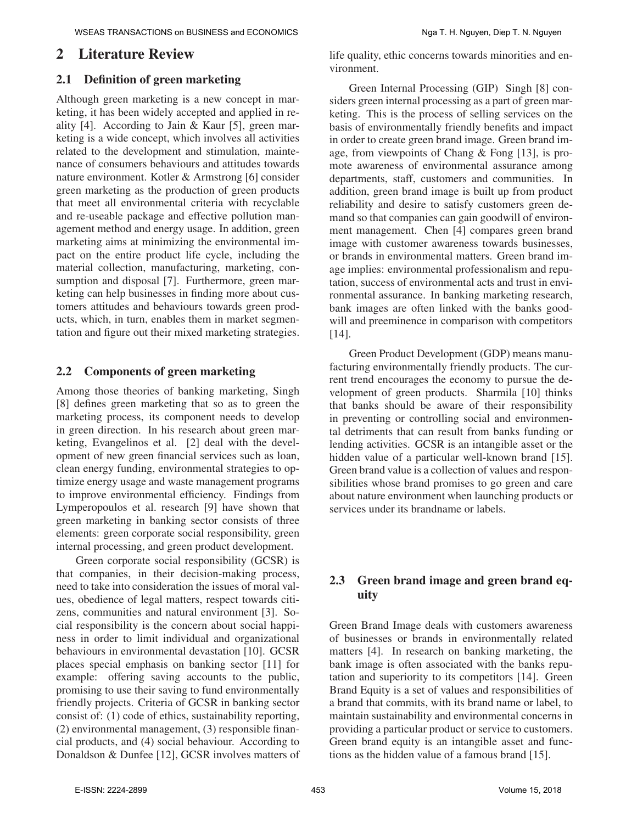# 2 Literature Review

### 2.1 Definition of green marketing

Although green marketing is a new concept in marketing, it has been widely accepted and applied in reality [4]. According to Jain & Kaur [5], green marketing is a wide concept, which involves all activities related to the development and stimulation, maintenance of consumers behaviours and attitudes towards nature environment. Kotler & Armstrong [6] consider green marketing as the production of green products that meet all environmental criteria with recyclable and re-useable package and effective pollution management method and energy usage. In addition, green marketing aims at minimizing the environmental impact on the entire product life cycle, including the material collection, manufacturing, marketing, consumption and disposal [7]. Furthermore, green marketing can help businesses in finding more about customers attitudes and behaviours towards green products, which, in turn, enables them in market segmentation and figure out their mixed marketing strategies.

### 2.2 Components of green marketing

Among those theories of banking marketing, Singh [8] defines green marketing that so as to green the marketing process, its component needs to develop in green direction. In his research about green marketing, Evangelinos et al. [2] deal with the development of new green financial services such as loan, clean energy funding, environmental strategies to optimize energy usage and waste management programs to improve environmental efficiency. Findings from Lymperopoulos et al. research [9] have shown that green marketing in banking sector consists of three elements: green corporate social responsibility, green internal processing, and green product development.

Green corporate social responsibility (GCSR) is that companies, in their decision-making process, need to take into consideration the issues of moral values, obedience of legal matters, respect towards citizens, communities and natural environment [3]. Social responsibility is the concern about social happiness in order to limit individual and organizational behaviours in environmental devastation [10]. GCSR places special emphasis on banking sector [11] for example: offering saving accounts to the public, promising to use their saving to fund environmentally friendly projects. Criteria of GCSR in banking sector consist of: (1) code of ethics, sustainability reporting, (2) environmental management, (3) responsible financial products, and (4) social behaviour. According to Donaldson & Dunfee [12], GCSR involves matters of life quality, ethic concerns towards minorities and environment.

Green Internal Processing (GIP) Singh [8] considers green internal processing as a part of green marketing. This is the process of selling services on the basis of environmentally friendly benefits and impact in order to create green brand image. Green brand image, from viewpoints of Chang & Fong [13], is promote awareness of environmental assurance among departments, staff, customers and communities. In addition, green brand image is built up from product reliability and desire to satisfy customers green demand so that companies can gain goodwill of environment management. Chen [4] compares green brand image with customer awareness towards businesses, or brands in environmental matters. Green brand image implies: environmental professionalism and reputation, success of environmental acts and trust in environmental assurance. In banking marketing research, bank images are often linked with the banks goodwill and preeminence in comparison with competitors [14].

Green Product Development (GDP) means manufacturing environmentally friendly products. The current trend encourages the economy to pursue the development of green products. Sharmila [10] thinks that banks should be aware of their responsibility in preventing or controlling social and environmental detriments that can result from banks funding or lending activities. GCSR is an intangible asset or the hidden value of a particular well-known brand [15]. Green brand value is a collection of values and responsibilities whose brand promises to go green and care about nature environment when launching products or services under its brandname or labels.

## 2.3 Green brand image and green brand equity

Green Brand Image deals with customers awareness of businesses or brands in environmentally related matters [4]. In research on banking marketing, the bank image is often associated with the banks reputation and superiority to its competitors [14]. Green Brand Equity is a set of values and responsibilities of a brand that commits, with its brand name or label, to maintain sustainability and environmental concerns in providing a particular product or service to customers. Green brand equity is an intangible asset and functions as the hidden value of a famous brand [15].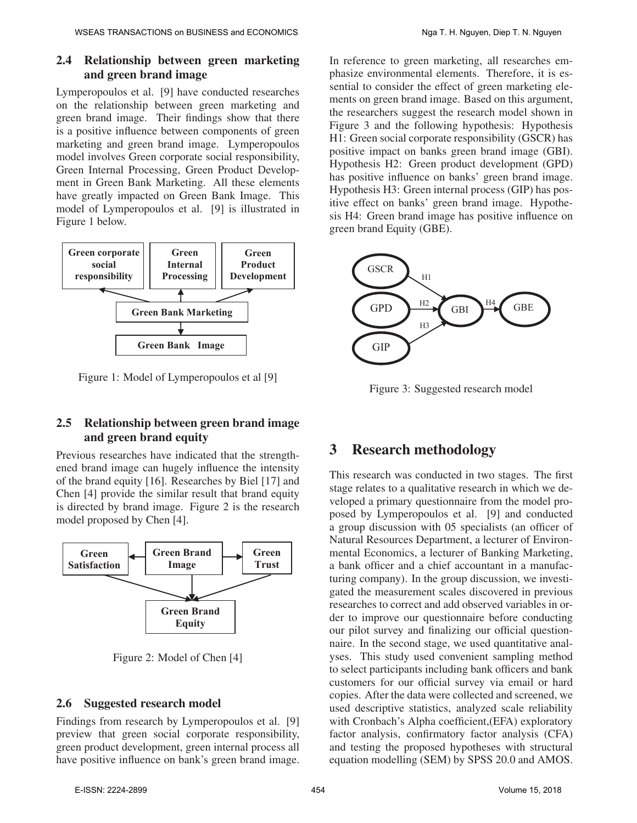# 2.4 Relationship between green marketing and green brand image

Lymperopoulos et al. [9] have conducted researches on the relationship between green marketing and green brand image. Their findings show that there is a positive influence between components of green marketing and green brand image. Lymperopoulos model involves Green corporate social responsibility, Green Internal Processing, Green Product Development in Green Bank Marketing. All these elements have greatly impacted on Green Bank Image. This model of Lymperopoulos et al. [9] is illustrated in Figure 1 below.



Figure 1: Model of Lymperopoulos et al [9] **Marketing** 

# 2.5 Relationship between green brand image and green brand equity

model proposed by Chen [4]. Previous researches have indicated that the strengthened brand image can hugely influence the intensity of the brand equity [16]. Researches by Biel [17] and Chen [4] provide the similar result that brand equity is directed by brand image. Figure 2 is the research



Figure 2: Model of Chen [4]

# 2.6 Suggested research model

Findings from research by Lymperopoulos et al. [9] preview that green social corporate responsibility, green product development, green internal process all have positive influence on bank's green brand image.

In reference to green marketing, all researches emphasize environmental elements. Therefore, it is essential to consider the effect of green marketing elements on green brand image. Based on this argument, the researchers suggest the research model shown in Figure 3 and the following hypothesis: Hypothesis H1: Green social corporate responsibility (GSCR) has positive impact on banks green brand image (GBI). Hypothesis H2: Green product development (GPD) has positive influence on banks' green brand image. Hypothesis H3: Green internal process (GIP) has positive effect on banks' green brand image. Hypothesis H4: Green brand image has positive influence on green brand Equity (GBE).



Figure 3: Suggested research model

# 3 Research methodology

This research was conducted in two stages. The first stage relates to a qualitative research in which we developed a primary questionnaire from the model proposed by Lymperopoulos et al. [9] and conducted a group discussion with 05 specialists (an officer of Natural Resources Department, a lecturer of Environmental Economics, a lecturer of Banking Marketing, a bank officer and a chief accountant in a manufacturing company). In the group discussion, we investigated the measurement scales discovered in previous researches to correct and add observed variables in order to improve our questionnaire before conducting our pilot survey and finalizing our official questionnaire. In the second stage, we used quantitative analyses. This study used convenient sampling method to select participants including bank officers and bank customers for our official survey via email or hard copies. After the data were collected and screened, we used descriptive statistics, analyzed scale reliability with Cronbach's Alpha coefficient,(EFA) exploratory factor analysis, confirmatory factor analysis (CFA) and testing the proposed hypotheses with structural equation modelling (SEM) by SPSS 20.0 and AMOS.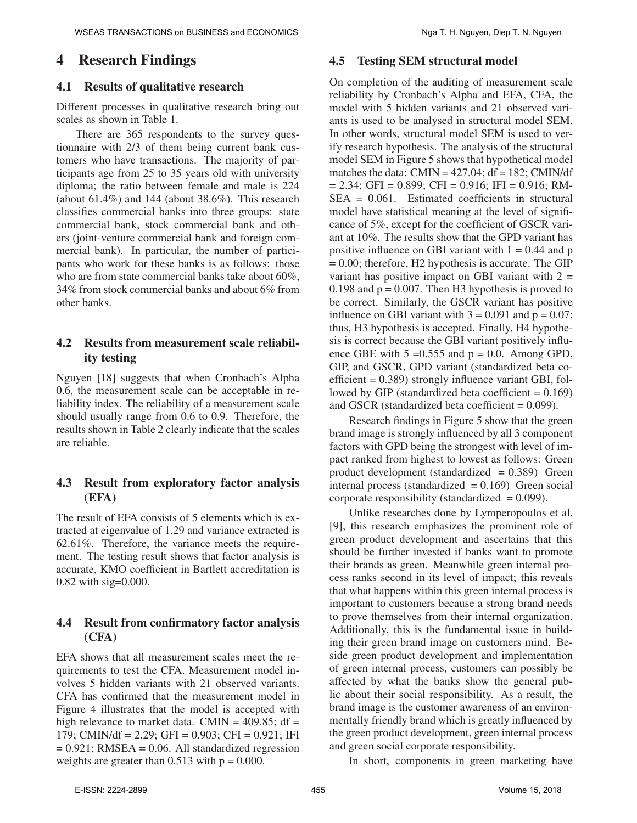# 4 Research Findings

### 4.1 Results of qualitative research

Different processes in qualitative research bring out scales as shown in Table 1.

There are 365 respondents to the survey questionnaire with 2/3 of them being current bank customers who have transactions. The majority of participants age from 25 to 35 years old with university diploma; the ratio between female and male is 224 (about  $61.4\%$ ) and  $144$  (about  $38.6\%$ ). This research classifies commercial banks into three groups: state commercial bank, stock commercial bank and others (joint-venture commercial bank and foreign commercial bank). In particular, the number of participants who work for these banks is as follows: those who are from state commercial banks take about 60%, 34% from stock commercial banks and about 6% from other banks.

### 4.2 Results from measurement scale reliability testing

Nguyen [18] suggests that when Cronbach's Alpha 0.6, the measurement scale can be acceptable in reliability index. The reliability of a measurement scale should usually range from 0.6 to 0.9. Therefore, the results shown in Table 2 clearly indicate that the scales are reliable.

### 4.3 Result from exploratory factor analysis (EFA)

The result of EFA consists of 5 elements which is extracted at eigenvalue of 1.29 and variance extracted is 62.61%. Therefore, the variance meets the requirement. The testing result shows that factor analysis is accurate, KMO coefficient in Bartlett accreditation is 0.82 with sig=0.000.

## 4.4 Result from confirmatory factor analysis (CFA)

EFA shows that all measurement scales meet the requirements to test the CFA. Measurement model involves 5 hidden variants with 21 observed variants. CFA has confirmed that the measurement model in Figure 4 illustrates that the model is accepted with high relevance to market data. CMIN =  $409.85$ ; df = 179; CMIN/df = 2.29; GFI = 0.903; CFI = 0.921; IFI  $= 0.921$ ; RMSEA  $= 0.06$ . All standardized regression weights are greater than  $0.513$  with  $p = 0.000$ .

#### 4.5 Testing SEM structural model

On completion of the auditing of measurement scale reliability by Cronbach's Alpha and EFA, CFA, the model with 5 hidden variants and 21 observed variants is used to be analysed in structural model SEM. In other words, structural model SEM is used to verify research hypothesis. The analysis of the structural model SEM in Figure 5 shows that hypothetical model matches the data:  $CMIN = 427.04$ ;  $df = 182$ ;  $CMIN/df$  $= 2.34$ ; GFI = 0.899; CFI = 0.916; IFI = 0.916; RM-SEA = 0.061. Estimated coefficients in structural model have statistical meaning at the level of significance of 5%, except for the coefficient of GSCR variant at 10%. The results show that the GPD variant has positive influence on GBI variant with  $1 = 0.44$  and p  $= 0.00$ ; therefore, H2 hypothesis is accurate. The GIP variant has positive impact on GBI variant with  $2 =$ 0.198 and  $p = 0.007$ . Then H3 hypothesis is proved to be correct. Similarly, the GSCR variant has positive influence on GBI variant with  $3 = 0.091$  and  $p = 0.07$ ; thus, H3 hypothesis is accepted. Finally, H4 hypothesis is correct because the GBI variant positively influence GBE with  $5 = 0.555$  and  $p = 0.0$ . Among GPD, GIP, and GSCR, GPD variant (standardized beta coefficient  $= 0.389$ ) strongly influence variant GBI, followed by GIP (standardized beta coefficient  $= 0.169$ ) and GSCR (standardized beta coefficient  $= 0.099$ ).

Research findings in Figure 5 show that the green brand image is strongly influenced by all 3 component factors with GPD being the strongest with level of impact ranked from highest to lowest as follows: Green product development (standardized  $= 0.389$ ) Green internal process (standardized  $= 0.169$ ) Green social corporate responsibility (standardized  $= 0.099$ ).

Unlike researches done by Lymperopoulos et al. [9], this research emphasizes the prominent role of green product development and ascertains that this should be further invested if banks want to promote their brands as green. Meanwhile green internal process ranks second in its level of impact; this reveals that what happens within this green internal process is important to customers because a strong brand needs to prove themselves from their internal organization. Additionally, this is the fundamental issue in building their green brand image on customers mind. Beside green product development and implementation of green internal process, customers can possibly be affected by what the banks show the general public about their social responsibility. As a result, the brand image is the customer awareness of an environmentally friendly brand which is greatly influenced by the green product development, green internal process and green social corporate responsibility.

In short, components in green marketing have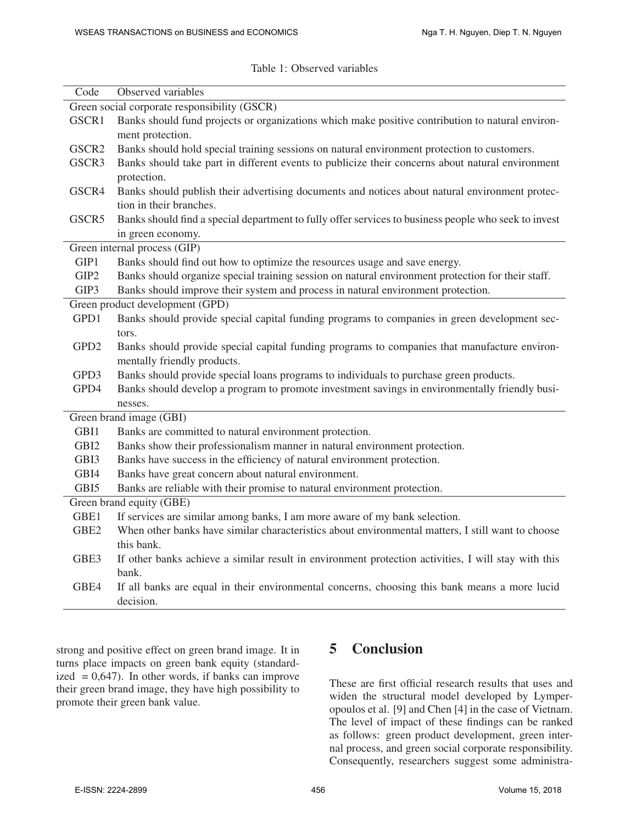|  | Table 1: Observed variables |  |
|--|-----------------------------|--|
|--|-----------------------------|--|

| Code                                         | Observed variables                                                                                   |  |  |  |
|----------------------------------------------|------------------------------------------------------------------------------------------------------|--|--|--|
| Green social corporate responsibility (GSCR) |                                                                                                      |  |  |  |
| GSCR1                                        | Banks should fund projects or organizations which make positive contribution to natural environ-     |  |  |  |
|                                              | ment protection.                                                                                     |  |  |  |
| GSCR2                                        | Banks should hold special training sessions on natural environment protection to customers.          |  |  |  |
| GSCR3                                        | Banks should take part in different events to publicize their concerns about natural environment     |  |  |  |
|                                              | protection.                                                                                          |  |  |  |
| GSCR4                                        | Banks should publish their advertising documents and notices about natural environment protec-       |  |  |  |
|                                              | tion in their branches.                                                                              |  |  |  |
| GSCR5                                        | Banks should find a special department to fully offer services to business people who seek to invest |  |  |  |
|                                              | in green economy.                                                                                    |  |  |  |
|                                              | Green internal process (GIP)                                                                         |  |  |  |
| GIP1                                         | Banks should find out how to optimize the resources usage and save energy.                           |  |  |  |
| GIP2                                         | Banks should organize special training session on natural environment protection for their staff.    |  |  |  |
| GIP3                                         | Banks should improve their system and process in natural environment protection.                     |  |  |  |
|                                              | Green product development (GPD)                                                                      |  |  |  |
| GPD1                                         | Banks should provide special capital funding programs to companies in green development sec-         |  |  |  |
|                                              | tors.                                                                                                |  |  |  |
| GPD <sub>2</sub>                             | Banks should provide special capital funding programs to companies that manufacture environ-         |  |  |  |
|                                              | mentally friendly products.                                                                          |  |  |  |
| GPD3                                         | Banks should provide special loans programs to individuals to purchase green products.               |  |  |  |
| GPD4                                         | Banks should develop a program to promote investment savings in environmentally friendly busi-       |  |  |  |
|                                              | nesses.                                                                                              |  |  |  |
| Green brand image (GBI)                      |                                                                                                      |  |  |  |
| GBI1                                         | Banks are committed to natural environment protection.                                               |  |  |  |
| GBI <sub>2</sub>                             | Banks show their professionalism manner in natural environment protection.                           |  |  |  |
| GBI3                                         | Banks have success in the efficiency of natural environment protection.                              |  |  |  |
| GBI4                                         | Banks have great concern about natural environment.                                                  |  |  |  |
| GBI5                                         | Banks are reliable with their promise to natural environment protection.                             |  |  |  |
| Green brand equity (GBE)                     |                                                                                                      |  |  |  |
| GBE1                                         | If services are similar among banks, I am more aware of my bank selection.                           |  |  |  |
| GBE <sub>2</sub>                             | When other banks have similar characteristics about environmental matters, I still want to choose    |  |  |  |
|                                              | this bank.                                                                                           |  |  |  |
| GBE3                                         | If other banks achieve a similar result in environment protection activities, I will stay with this  |  |  |  |
|                                              | bank.                                                                                                |  |  |  |
| GBE4                                         | If all banks are equal in their environmental concerns, choosing this bank means a more lucid        |  |  |  |
|                                              | decision.                                                                                            |  |  |  |
|                                              |                                                                                                      |  |  |  |

strong and positive effect on green brand image. It in turns place impacts on green bank equity (standardized  $= 0.647$ ). In other words, if banks can improve their green brand image, they have high possibility to promote their green bank value.

# 5 Conclusion

These are first official research results that uses and widen the structural model developed by Lymperopoulos et al. [9] and Chen [4] in the case of Vietnam. The level of impact of these findings can be ranked as follows: green product development, green internal process, and green social corporate responsibility. Consequently, researchers suggest some administra-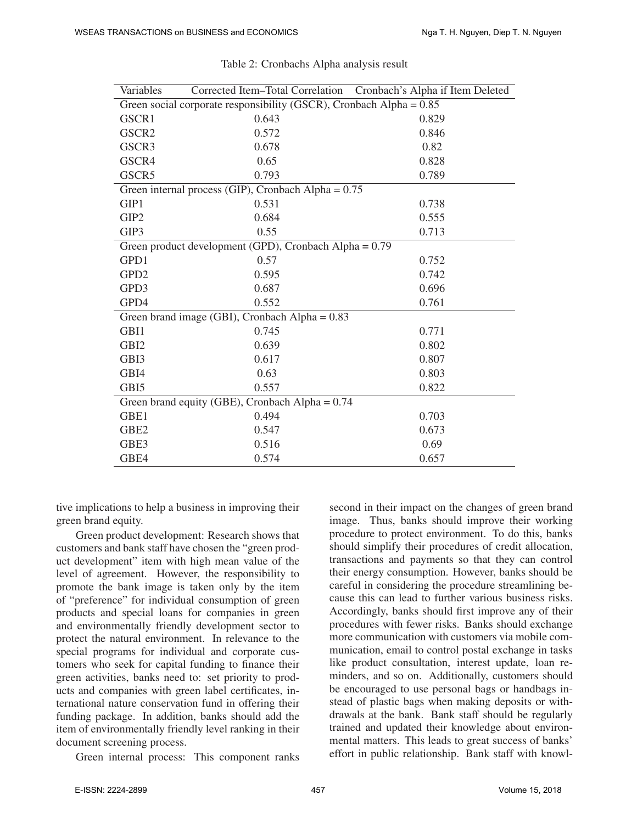| Variables                                                             |       | Corrected Item-Total Correlation Cronbach's Alpha if Item Deleted |  |  |  |  |
|-----------------------------------------------------------------------|-------|-------------------------------------------------------------------|--|--|--|--|
| Green social corporate responsibility (GSCR), Cronbach Alpha = $0.85$ |       |                                                                   |  |  |  |  |
| GSCR1                                                                 | 0.643 | 0.829                                                             |  |  |  |  |
| GSCR <sub>2</sub>                                                     | 0.572 | 0.846                                                             |  |  |  |  |
| GSCR3                                                                 | 0.678 | 0.82                                                              |  |  |  |  |
| GSCR4                                                                 | 0.65  | 0.828                                                             |  |  |  |  |
| GSCR5                                                                 | 0.793 | 0.789                                                             |  |  |  |  |
| Green internal process (GIP), Cronbach Alpha = $0.75$                 |       |                                                                   |  |  |  |  |
| GIP1                                                                  | 0.531 | 0.738                                                             |  |  |  |  |
| GIP <sub>2</sub>                                                      | 0.684 | 0.555                                                             |  |  |  |  |
| GIP3                                                                  | 0.55  | 0.713                                                             |  |  |  |  |
| Green product development (GPD), Cronbach Alpha = 0.79                |       |                                                                   |  |  |  |  |
| GPD1                                                                  | 0.57  | 0.752                                                             |  |  |  |  |
| GPD <sub>2</sub>                                                      | 0.595 | 0.742                                                             |  |  |  |  |
| GPD3                                                                  | 0.687 | 0.696                                                             |  |  |  |  |
| GPD4                                                                  | 0.552 | 0.761                                                             |  |  |  |  |
| Green brand image (GBI), Cronbach Alpha = $0.83$                      |       |                                                                   |  |  |  |  |
| GBI1                                                                  | 0.745 | 0.771                                                             |  |  |  |  |
| GBI <sub>2</sub>                                                      | 0.639 | 0.802                                                             |  |  |  |  |
| GBI3                                                                  | 0.617 | 0.807                                                             |  |  |  |  |
| GBI4                                                                  | 0.63  | 0.803                                                             |  |  |  |  |
| GBI5                                                                  | 0.557 | 0.822                                                             |  |  |  |  |
| Green brand equity (GBE), Cronbach Alpha = $0.74$                     |       |                                                                   |  |  |  |  |
| GBE1                                                                  | 0.494 | 0.703                                                             |  |  |  |  |
| GBE <sub>2</sub>                                                      | 0.547 | 0.673                                                             |  |  |  |  |
| GBE3                                                                  | 0.516 | 0.69                                                              |  |  |  |  |
| GBE4                                                                  | 0.574 | 0.657                                                             |  |  |  |  |

| Table 2: Cronbachs Alpha analysis result |  |  |
|------------------------------------------|--|--|
|                                          |  |  |

tive implications to help a business in improving their green brand equity.

Green product development: Research shows that customers and bank staff have chosen the "green product development" item with high mean value of the level of agreement. However, the responsibility to promote the bank image is taken only by the item of "preference" for individual consumption of green products and special loans for companies in green and environmentally friendly development sector to protect the natural environment. In relevance to the special programs for individual and corporate customers who seek for capital funding to finance their green activities, banks need to: set priority to products and companies with green label certificates, international nature conservation fund in offering their funding package. In addition, banks should add the item of environmentally friendly level ranking in their document screening process.

Green internal process: This component ranks

second in their impact on the changes of green brand image. Thus, banks should improve their working procedure to protect environment. To do this, banks should simplify their procedures of credit allocation, transactions and payments so that they can control their energy consumption. However, banks should be careful in considering the procedure streamlining because this can lead to further various business risks. Accordingly, banks should first improve any of their procedures with fewer risks. Banks should exchange more communication with customers via mobile communication, email to control postal exchange in tasks like product consultation, interest update, loan reminders, and so on. Additionally, customers should be encouraged to use personal bags or handbags instead of plastic bags when making deposits or withdrawals at the bank. Bank staff should be regularly trained and updated their knowledge about environmental matters. This leads to great success of banks' effort in public relationship. Bank staff with knowl-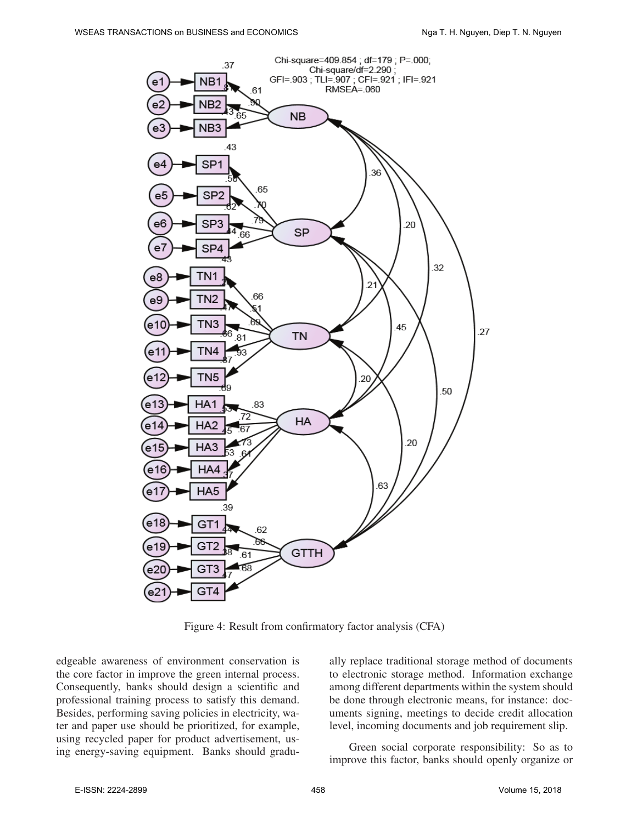

Figure 4: Result from confirmatory factor analysis (CFA)

edgeable awareness of environment conservation is the core factor in improve the green internal process. Consequently, banks should design a scientific and professional training process to satisfy this demand. Besides, performing saving policies in electricity, water and paper use should be prioritized, for example, using recycled paper for product advertisement, using energy-saving equipment. Banks should gradually replace traditional storage method of documents to electronic storage method. Information exchange among different departments within the system should be done through electronic means, for instance: documents signing, meetings to decide credit allocation level, incoming documents and job requirement slip.

Green social corporate responsibility: So as to improve this factor, banks should openly organize or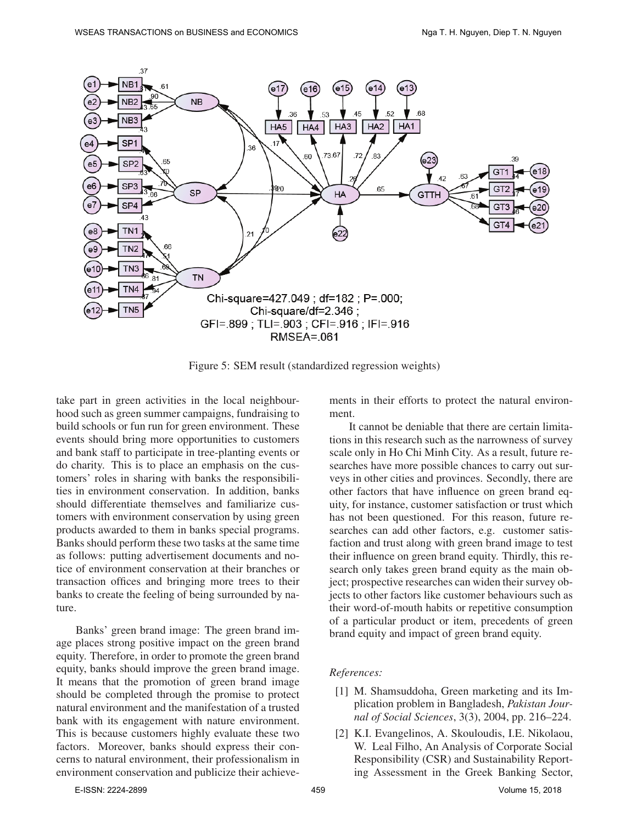

Figure 5: SEM result (standardized regression weights)

take part in green activities in the local neighbourhood such as green summer campaigns, fundraising to build schools or fun run for green environment. These events should bring more opportunities to customers and bank staff to participate in tree-planting events or do charity. This is to place an emphasis on the customers' roles in sharing with banks the responsibilities in environment conservation. In addition, banks should differentiate themselves and familiarize customers with environment conservation by using green products awarded to them in banks special programs. Banks should perform these two tasks at the same time as follows: putting advertisement documents and notice of environment conservation at their branches or transaction offices and bringing more trees to their banks to create the feeling of being surrounded by nature.

Banks' green brand image: The green brand image places strong positive impact on the green brand equity. Therefore, in order to promote the green brand equity, banks should improve the green brand image. It means that the promotion of green brand image should be completed through the promise to protect natural environment and the manifestation of a trusted bank with its engagement with nature environment. This is because customers highly evaluate these two factors. Moreover, banks should express their concerns to natural environment, their professionalism in environment conservation and publicize their achievements in their efforts to protect the natural environment.

It cannot be deniable that there are certain limitations in this research such as the narrowness of survey scale only in Ho Chi Minh City. As a result, future researches have more possible chances to carry out surveys in other cities and provinces. Secondly, there are other factors that have influence on green brand equity, for instance, customer satisfaction or trust which has not been questioned. For this reason, future researches can add other factors, e.g. customer satisfaction and trust along with green brand image to test their influence on green brand equity. Thirdly, this research only takes green brand equity as the main object; prospective researches can widen their survey objects to other factors like customer behaviours such as their word-of-mouth habits or repetitive consumption of a particular product or item, precedents of green brand equity and impact of green brand equity.

#### *References:*

- [1] M. Shamsuddoha, Green marketing and its Implication problem in Bangladesh, *Pakistan Journal of Social Sciences*, 3(3), 2004, pp. 216–224.
- [2] K.I. Evangelinos, A. Skouloudis, I.E. Nikolaou, W. Leal Filho, An Analysis of Corporate Social Responsibility (CSR) and Sustainability Reporting Assessment in the Greek Banking Sector,